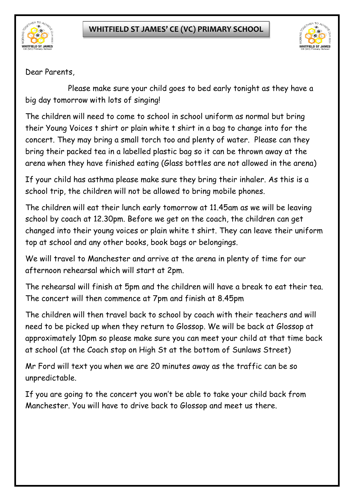



Dear Parents,

Please make sure your child goes to bed early tonight as they have a big day tomorrow with lots of singing!

The children will need to come to school in school uniform as normal but bring their Young Voices t shirt or plain white t shirt in a bag to change into for the concert. They may bring a small torch too and plenty of water. Please can they bring their packed tea in a labelled plastic bag so it can be thrown away at the arena when they have finished eating (Glass bottles are not allowed in the arena)

If your child has asthma please make sure they bring their inhaler. As this is a school trip, the children will not be allowed to bring mobile phones.

The children will eat their lunch early tomorrow at 11.45am as we will be leaving school by coach at 12.30pm. Before we get on the coach, the children can get changed into their young voices or plain white t shirt. They can leave their uniform top at school and any other books, book bags or belongings.

We will travel to Manchester and arrive at the arena in plenty of time for our afternoon rehearsal which will start at 2pm.

The rehearsal will finish at 5pm and the children will have a break to eat their tea. The concert will then commence at 7pm and finish at 8.45pm

The children will then travel back to school by coach with their teachers and will need to be picked up when they return to Glossop. We will be back at Glossop at approximately 10pm so please make sure you can meet your child at that time back at school (at the Coach stop on High St at the bottom of Sunlaws Street)

Mr Ford will text you when we are 20 minutes away as the traffic can be so unpredictable.

If you are going to the concert you won't be able to take your child back from Manchester. You will have to drive back to Glossop and meet us there.